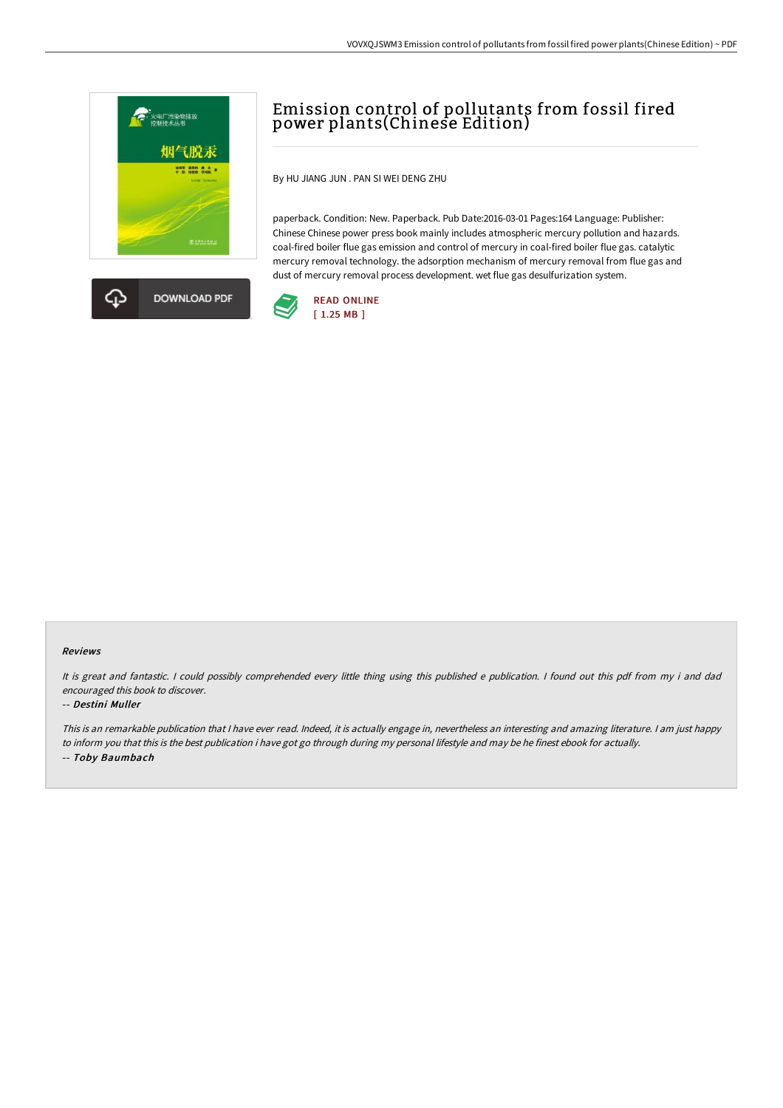



# Emission control of pollutants from fossil fired power plants(Chinese Edition)

By HU JIANG JUN . PAN SI WEI DENG ZHU

paperback. Condition: New. Paperback. Pub Date:2016-03-01 Pages:164 Language: Publisher: Chinese Chinese power press book mainly includes atmospheric mercury pollution and hazards. coal-fired boiler flue gas emission and control of mercury in coal-fired boiler flue gas. catalytic mercury removal technology. the adsorption mechanism of mercury removal from flue gas and dust of mercury removal process development. wet flue gas desulfurization system.



#### Reviews

It is great and fantastic. <sup>I</sup> could possibly comprehended every little thing using this published <sup>e</sup> publication. <sup>I</sup> found out this pdf from my i and dad encouraged this book to discover.

#### -- Destini Muller

This is an remarkable publication that I have ever read. Indeed, it is actually engage in, nevertheless an interesting and amazing literature. I am just happy to inform you that this is the best publication i have got go through during my personal lifestyle and may be he finest ebook for actually. -- Toby Baumbach